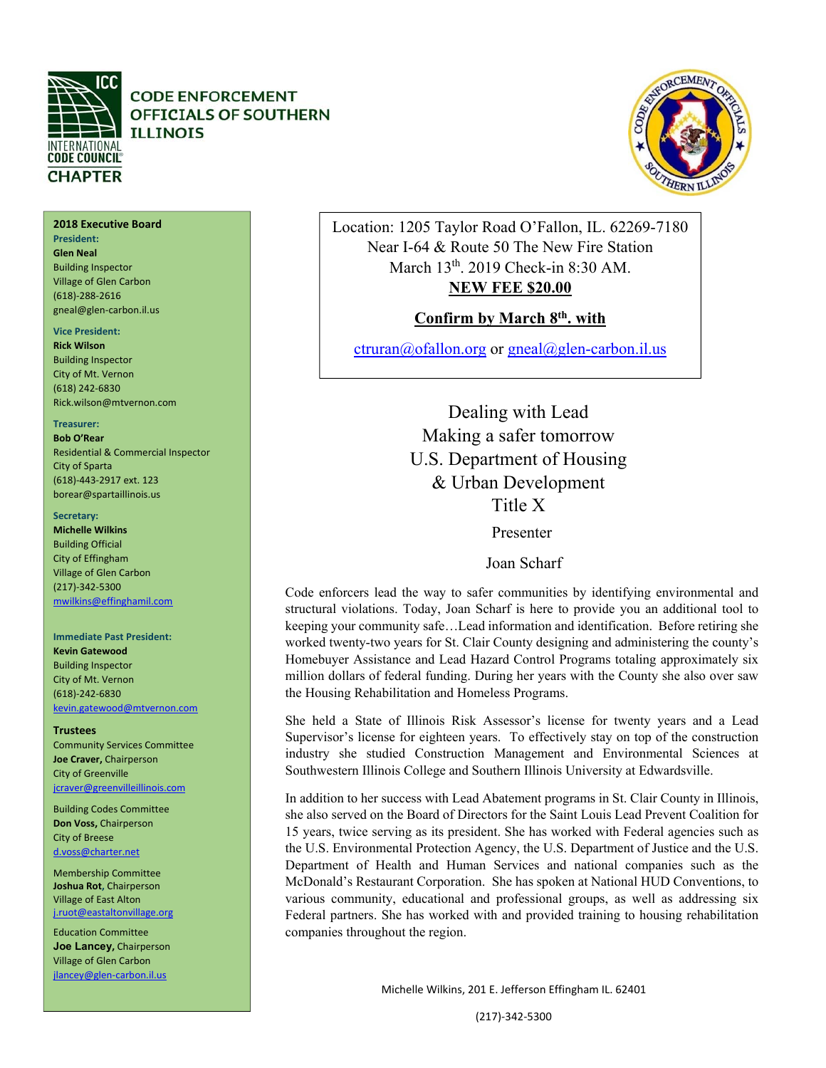

# **CODE ENFORCEMENT OFFICIALS OF SOUTHERN ILLINOIS**

# **2018 Executive Board**

**President: Glen Neal**  Building Inspector Village of Glen Carbon (618)‐288‐2616 gneal@glen‐carbon.il.us

### **Vice President:**

**Rick Wilson**  Building Inspector City of Mt. Vernon (618) 242‐6830 Rick.wilson@mtvernon.com

### **Treasurer:**

**Bob O'Rear**  Residential & Commercial Inspector City of Sparta (618)‐443‐2917 ext. 123 borear@spartaillinois.us

### Secretary:

**Michelle Wilkins**  Building Official City of Effingham Village of Glen Carbon (217)‐342‐5300 mwilkins@effinghamil.com

### **Immediate Past President:**

**Kevin Gatewood**  Building Inspector City of Mt. Vernon (618)‐242‐6830 kevin.gatewood@mtvernon.com

### **Trustees**

Community Services Committee **Joe Craver,** Chairperson City of Greenville jcraver@greenvilleillinois.com

Building Codes Committee **Don Voss,** Chairperson City of Breese d.voss@charter.net

Membership Committee **Joshua Rot,** Chairperson Village of East Alton j.ruot@eastaltonvillage.org

Education Committee **Joe Lancey,** Chairperson Village of Glen Carbon jlancey@glen‐carbon.il.us

Location: 1205 Taylor Road O'Fallon, IL. 62269-7180 Near I-64 & Route 50 The New Fire Station March 13<sup>th</sup>. 2019 Check-in 8:30 AM. **NEW FEE \$20.00** 

# **Confirm by March 8th. with**

ctruran@ofallon.org or gneal@glen-carbon.il.us

Dealing with Lead Making a safer tomorrow U.S. Department of Housing & Urban Development Title X

Presenter

Joan Scharf

Code enforcers lead the way to safer communities by identifying environmental and structural violations. Today, Joan Scharf is here to provide you an additional tool to keeping your community safe…Lead information and identification. Before retiring she worked twenty-two years for St. Clair County designing and administering the county's Homebuyer Assistance and Lead Hazard Control Programs totaling approximately six million dollars of federal funding. During her years with the County she also over saw the Housing Rehabilitation and Homeless Programs.

She held a State of Illinois Risk Assessor's license for twenty years and a Lead Supervisor's license for eighteen years. To effectively stay on top of the construction industry she studied Construction Management and Environmental Sciences at Southwestern Illinois College and Southern Illinois University at Edwardsville.

In addition to her success with Lead Abatement programs in St. Clair County in Illinois, she also served on the Board of Directors for the Saint Louis Lead Prevent Coalition for 15 years, twice serving as its president. She has worked with Federal agencies such as the U.S. Environmental Protection Agency, the U.S. Department of Justice and the U.S. Department of Health and Human Services and national companies such as the McDonald's Restaurant Corporation. She has spoken at National HUD Conventions, to various community, educational and professional groups, as well as addressing six Federal partners. She has worked with and provided training to housing rehabilitation companies throughout the region.

Michelle Wilkins, 201 E. Jefferson Effingham IL. 62401

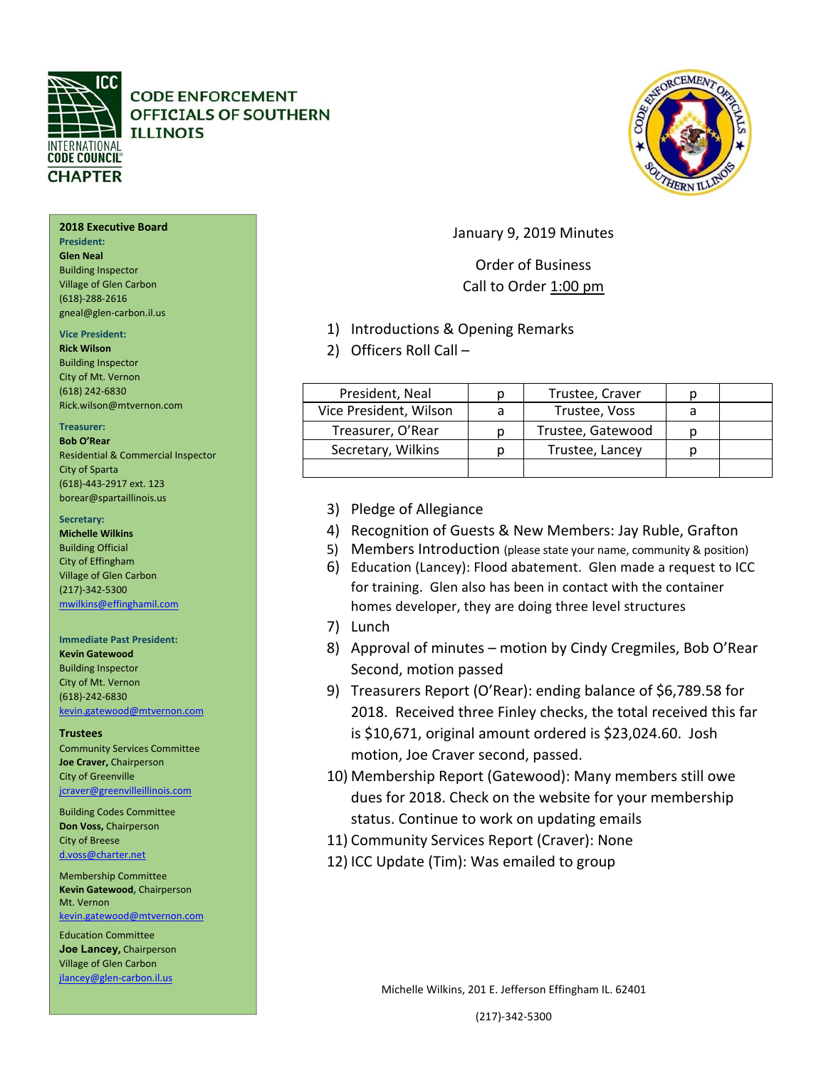

# **CODE ENFORCEMENT OFFICIALS OF SOUTHERN ILLINOIS**

# **2018 Executive Board**

**President: Glen Neal**  Building Inspector Village of Glen Carbon (618)‐288‐2616 gneal@glen‐carbon.il.us

### **Vice President:**

**Rick Wilson**  Building Inspector City of Mt. Vernon (618) 242‐6830 Rick.wilson@mtvernon.com

### **Treasurer:**

**Bob O'Rear**  Residential & Commercial Inspector City of Sparta (618)‐443‐2917 ext. 123 borear@spartaillinois.us

### Secretary:

**Michelle Wilkins**  Building Official City of Effingham Village of Glen Carbon (217)‐342‐5300 mwilkins@effinghamil.com

### **Immediate Past President:**

**Kevin Gatewood**  Building Inspector City of Mt. Vernon (618)‐242‐6830 kevin.gatewood@mtvernon.com

### **Trustees**

Community Services Committee **Joe Craver,** Chairperson City of Greenville jcraver@greenvilleillinois.com

Building Codes Committee **Don Voss,** Chairperson City of Breese d.voss@charter.net

Membership Committee **Kevin Gatewood,** Chairperson Mt. Vernon kevin.gatewood@mtvernon.com

Education Committee **Joe Lancey,** Chairperson Village of Glen Carbon jlancey@glen‐carbon.il.us

# January 9, 2019 Minutes

# Order of Business Call to Order 1:00 pm

- 1) Introductions & Opening Remarks
- 2) Officers Roll Call –

| President, Neal        | Trustee, Craver   |  |
|------------------------|-------------------|--|
| Vice President, Wilson | Trustee, Voss     |  |
| Treasurer, O'Rear      | Trustee, Gatewood |  |
| Secretary, Wilkins     | Trustee, Lancey   |  |
|                        |                   |  |

- 3) Pledge of Allegiance
- 4) Recognition of Guests & New Members: Jay Ruble, Grafton
- 5) Members Introduction (please state your name, community & position)
- 6) Education (Lancey): Flood abatement. Glen made a request to ICC for training. Glen also has been in contact with the container homes developer, they are doing three level structures
- 7) Lunch
- 8) Approval of minutes motion by Cindy Cregmiles, Bob O'Rear Second, motion passed
- 9) Treasurers Report (O'Rear): ending balance of \$6,789.58 for 2018. Received three Finley checks, the total received this far is \$10,671, original amount ordered is \$23,024.60. Josh motion, Joe Craver second, passed.
- 10) Membership Report (Gatewood): Many members still owe dues for 2018. Check on the website for your membership status. Continue to work on updating emails
- 11) Community Services Report (Craver): None
- 12) ICC Update (Tim): Was emailed to group

Michelle Wilkins, 201 E. Jefferson Effingham IL. 62401